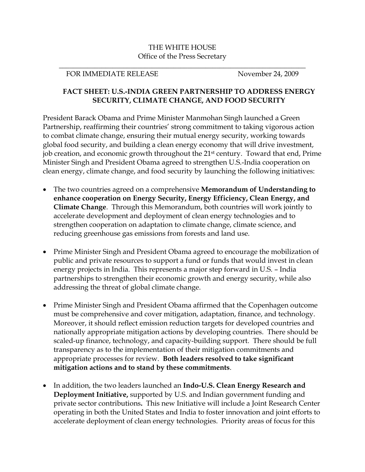## THE WHITE HOUSE Office of the Press Secretary

\_\_\_\_\_\_\_\_\_\_\_\_\_\_\_\_\_\_\_\_\_\_\_\_\_\_\_\_\_\_\_\_\_\_\_\_\_\_\_\_\_\_\_\_\_\_\_\_\_\_\_\_\_\_\_\_\_\_\_\_\_\_\_\_\_\_\_\_\_

## FOR IMMEDIATE RELEASE November 24, 2009

## **FACT SHEET: U.S.-INDIA GREEN PARTNERSHIP TO ADDRESS ENERGY SECURITY, CLIMATE CHANGE, AND FOOD SECURITY**

President Barack Obama and Prime Minister Manmohan Singh launched a Green Partnership, reaffirming their countries' strong commitment to taking vigorous action to combat climate change, ensuring their mutual energy security, working towards global food security, and building a clean energy economy that will drive investment, job creation, and economic growth throughout the 21st century. Toward that end, Prime Minister Singh and President Obama agreed to strengthen U.S.-India cooperation on clean energy, climate change, and food security by launching the following initiatives:

- The two countries agreed on a comprehensive **Memorandum of Understanding to enhance cooperation on Energy Security, Energy Efficiency, Clean Energy, and Climate Change**. Through this Memorandum, both countries will work jointly to accelerate development and deployment of clean energy technologies and to strengthen cooperation on adaptation to climate change, climate science, and reducing greenhouse gas emissions from forests and land use.
- Prime Minister Singh and President Obama agreed to encourage the mobilization of public and private resources to support a fund or funds that would invest in clean energy projects in India. This represents a major step forward in U.S. – India partnerships to strengthen their economic growth and energy security, while also addressing the threat of global climate change.
- Prime Minister Singh and President Obama affirmed that the Copenhagen outcome must be comprehensive and cover mitigation, adaptation, finance, and technology. Moreover, it should reflect emission reduction targets for developed countries and nationally appropriate mitigation actions by developing countries. There should be scaled-up finance, technology, and capacity-building support. There should be full transparency as to the implementation of their mitigation commitments and appropriate processes for review. **Both leaders resolved to take significant mitigation actions and to stand by these commitments**.
- In addition, the two leaders launched an **Indo-U.S. Clean Energy Research and Deployment Initiative,** supported by U.S. and Indian government funding and private sector contributions**.** This new Initiative will include a Joint Research Center operating in both the United States and India to foster innovation and joint efforts to accelerate deployment of clean energy technologies. Priority areas of focus for this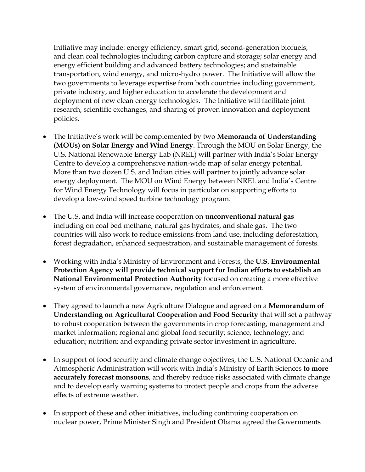Initiative may include: energy efficiency, smart grid, second-generation biofuels, and clean coal technologies including carbon capture and storage; solar energy and energy efficient building and advanced battery technologies; and sustainable transportation, wind energy, and micro-hydro power. The Initiative will allow the two governments to leverage expertise from both countries including government, private industry, and higher education to accelerate the development and deployment of new clean energy technologies. The Initiative will facilitate joint research, scientific exchanges, and sharing of proven innovation and deployment policies.

- The Initiative's work will be complemented by two **Memoranda of Understanding (MOUs) on Solar Energy and Wind Energy**. Through the MOU on Solar Energy, the U.S. National Renewable Energy Lab (NREL) will partner with India's Solar Energy Centre to develop a comprehensive nation-wide map of solar energy potential. More than two dozen U.S. and Indian cities will partner to jointly advance solar energy deployment. The MOU on Wind Energy between NREL and India's Centre for Wind Energy Technology will focus in particular on supporting efforts to develop a low-wind speed turbine technology program.
- The U.S. and India will increase cooperation on **unconventional natural gas** including on coal bed methane, natural gas hydrates, and shale gas. The two countries will also work to reduce emissions from land use, including deforestation, forest degradation, enhanced sequestration, and sustainable management of forests.
- Working with India's Ministry of Environment and Forests, the **U.S. Environmental Protection Agency will provide technical support for Indian efforts to establish an National Environmental Protection Authority** focused on creating a more effective system of environmental governance, regulation and enforcement.
- They agreed to launch a new Agriculture Dialogue and agreed on a **Memorandum of Understanding on Agricultural Cooperation and Food Security** that will set a pathway to robust cooperation between the governments in crop forecasting, management and market information; regional and global food security; science, technology, and education; nutrition; and expanding private sector investment in agriculture.
- In support of food security and climate change objectives, the U.S. National Oceanic and Atmospheric Administration will work with India's Ministry of Earth Sciences **to more accurately forecast monsoons**, and thereby reduce risks associated with climate change and to develop early warning systems to protect people and crops from the adverse effects of extreme weather.
- In support of these and other initiatives, including continuing cooperation on nuclear power, Prime Minister Singh and President Obama agreed the Governments